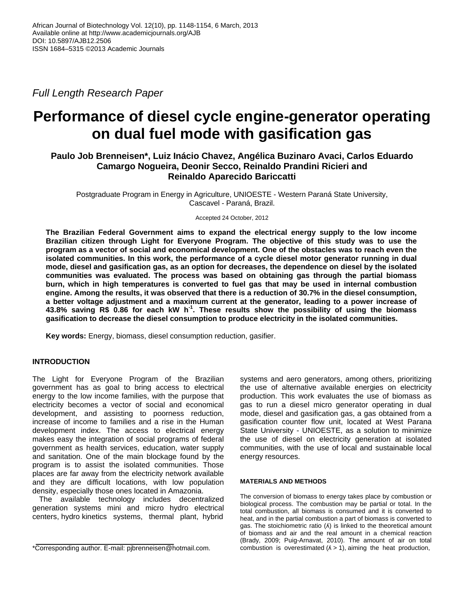*Full Length Research Paper*

# **Performance of diesel cycle engine-generator operating on dual fuel mode with gasification gas**

## **Paulo Job Brenneisen\*, Luiz Inácio Chavez, Angélica Buzinaro Avaci, Carlos Eduardo Camargo Nogueira, Deonir Secco, Reinaldo Prandini Ricieri and Reinaldo Aparecido Bariccatti**

Postgraduate Program in Energy in Agriculture, UNIOESTE - Western Paraná State University, Cascavel - Paraná, Brazil.

Accepted 24 October, 2012

**The Brazilian Federal Government aims to expand the electrical energy supply to the low income Brazilian citizen through Light for Everyone Program. The objective of this study was to use the program as a vector of social and economical development. One of the obstacles was to reach even the isolated communities. In this work, the performance of a cycle diesel motor generator running in dual mode, diesel and gasification gas, as an option for decreases, the dependence on diesel by the isolated communities was evaluated. The process was based on obtaining gas through the partial biomass burn, which in high temperatures is converted to fuel gas that may be used in internal combustion engine. Among the results, it was observed that there is a reduction of 30.7% in the diesel consumption, a better voltage adjustment and a maximum current at the generator, leading to a power increase of 43.8% saving R\$ 0.86 for each kW h -1 . These results show the possibility of using the biomass gasification to decrease the diesel consumption to produce electricity in the isolated communities.**

**Key words:** Energy, biomass, diesel consumption reduction, gasifier.

### **INTRODUCTION**

The Light for Everyone Program of the Brazilian government has as goal to bring access to electrical energy to the low income families, with the purpose that electricity becomes a vector of social and economical development, and assisting to poorness reduction, increase of income to families and a rise in the Human development index. The access to electrical energy makes easy the integration of social programs of federal government as health services, education, water supply and sanitation. One of the main blockage found by the program is to assist the isolated communities. Those places are far away from the electricity network available and they are difficult locations, with low population density, especially those ones located in Amazonia.

The available technology includes decentralized generation systems mini and micro hydro electrical centers, hydro kinetics systems, thermal plant, hybrid

systems and aero generators, among others, prioritizing the use of alternative available energies on electricity production. This work evaluates the use of biomass as gas to run a diesel micro generator operating in dual mode, diesel and gasification gas, a gas obtained from a gasification counter flow unit, located at West Parana State University - UNIOESTE, as a solution to minimize the use of diesel on electricity generation at isolated communities, with the use of local and sustainable local energy resources.

#### **MATERIALS AND METHODS**

The conversion of biomass to energy takes place by combustion or biological process. The combustion may be partial or total. In the total combustion, all biomass is consumed and it is converted to heat, and in the partial combustion a part of biomass is converted to gas. The stoichiometric ratio (A) is linked to the theoretical amount of biomass and air and the real amount in a chemical reaction (Brady, 2009; Puig-Arnavat, 2010). The amount of air on total combustion is overestimated  $(A > 1)$ , aiming the heat production,

<sup>\*</sup>Corresponding author. E-mail: pjbrenneisen@hotmail.com.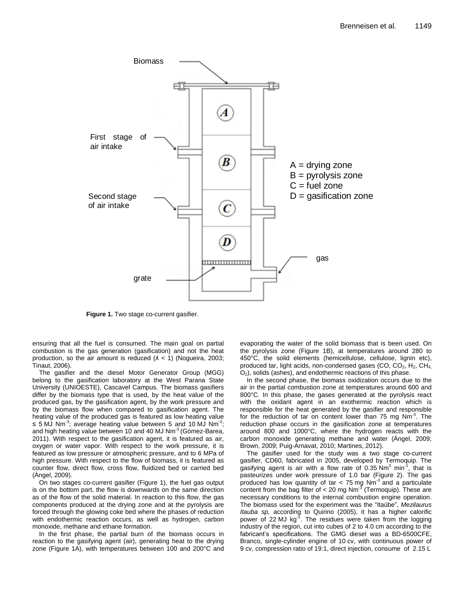

**Figure 1.** Two stage co-current gasifier.

ensuring that all the fuel is consumed. The main goal on partial combustion is the gas generation (gasification) and not the heat production, so the air amount is reduced  $(A < 1)$  (Nogueira, 2003; Tinaut, 2006).

The gasifier and the diesel Motor Generator Group (MGG) belong to the gasification laboratory at the West Parana State University (UNIOESTE), Cascavel Campus. The biomass gasifiers differ by the biomass type that is used, by the heat value of the produced gas, by the gasification agent, by the work pressure and by the biomass flow when compared to gasification agent. The heating value of the produced gas is featured as low heating value ≤ 5 MJ Nm<sup>-3</sup>; average heating value between 5 and 10 MJ Nm<sup>-3</sup>; and high heating value between 10 and 40 MJ Nm<sup>-3</sup> (Gómez-Barea, 2011). With respect to the gasification agent, it is featured as air, oxygen or water vapor. With respect to the work pressure, it is featured as low pressure or atmospheric pressure, and to 6 MPa of high pressure. With respect to the flow of biomass, it is featured as counter flow, direct flow, cross flow, fluidized bed or carried bed (Àngel, 2009).

On two stages co-current gasifier (Figure 1), the fuel gas output is on the bottom part, the flow is downwards on the same direction as of the flow of the solid material. In reaction to this flow, the gas components produced at the drying zone and at the pyrolysis are forced through the glowing coke bed where the phases of reduction with endothermic reaction occurs, as well as hydrogen, carbon monoxide, methane and ethane formation.

In the first phase, the partial burn of the biomass occurs in reaction to the gasifying agent (air), generating heat to the drying zone (Figure 1A), with temperatures between 100 and 200°C and evaporating the water of the solid biomass that is been used. On the pyrolysis zone (Figure 1B), at temperatures around 280 to 450°C, the solid elements (hemicellulose, cellulose, lignin etc), produced tar, light acids, non-condensed gases (CO,  $CO<sub>2</sub>$ , H<sub>2</sub>,  $CH<sub>4</sub>$  $O<sub>2</sub>$ ), solids (ashes), and endothermic reactions of this phase.

In the second phase, the biomass oxidization occurs due to the air in the partial combustion zone at temperatures around 600 and 800°C. In this phase, the gases generated at the pyrolysis react with the oxidant agent in an exothermic reaction which is responsible for the heat generated by the gasifier and responsible for the reduction of tar on content lower than 75 mg Nm<sup>-3</sup>. The reduction phase occurs in the gasification zone at temperatures around 800 and 1000°C, where the hydrogen reacts with the carbon monoxide generating methane and water (Ángel, 2009; Brown, 2009; Puig-Arnavat, 2010; Martines, 2012).

The gasifier used for the study was a two stage co-current gasifier, CD60, fabricated in 2005, developed by Termoquip. The gasifying agent is air with a flow rate of 0.35  $Nm^3$  min<sup>-1</sup>, that is pasteurizes under work pressure of 1.0 bar (Figure 2). The gas produced has low quantity of tar  $<$  75 mg Nm<sup>-3</sup> and a particulate content from the bag filter of  $<$  20 mg Nm<sup>-3</sup> (Termoquip). These are necessary conditions to the internal combustion engine operation. The biomass used for the experiment was the "Itaúbe", *Mezilaurus Itauba sp,* according to Quirino (2005), it has a higher calorific power of 22 MJ kg<sup>-T</sup>. The residues were taken from the logging industry of the region, cut into cubes of 2 to 4.0 cm according to the fabricant's specifications. The GMG diesel was a BD-6500CFE, Branco, single-cylinder engine of 10 cv, with continuous power of 9 cv, compression ratio of 19:1, direct injection, consume of 2.15 L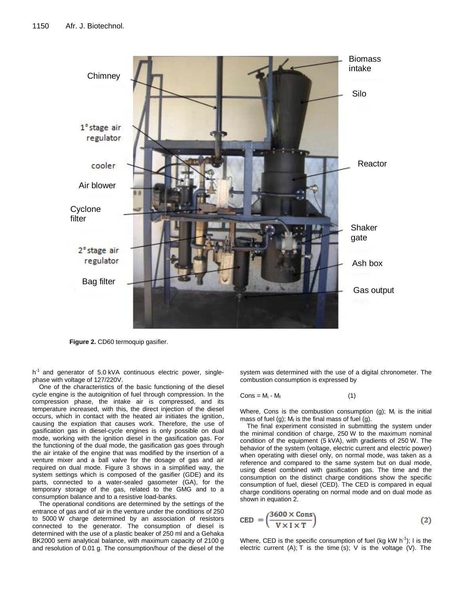

**Figure 2.** CD60 termoquip gasifier.

h<sup>-1</sup> and generator of 5.0 kVA continuous electric power, singlephase with voltage of 127/220V.

One of the characteristics of the basic functioning of the diesel cycle engine is the autoignition of fuel through compression. In the compression phase, the intake air is compressed, and its temperature increased, with this, the direct injection of the diesel occurs, which in contact with the heated air initiates the ignition, causing the expiation that causes work. Therefore, the use of gasification gas in diesel-cycle engines is only possible on dual mode, working with the ignition diesel in the gasification gas. For the functioning of the dual mode, the gasification gas goes through the air intake of the engine that was modified by the insertion of a venture mixer and a ball valve for the dosage of gas and air required on dual mode. Figure 3 shows in a simplified way, the system settings which is composed of the gasifier (GDE) and its parts, connected to a water-sealed gasometer (GA), for the temporary storage of the gas, related to the GMG and to a consumption balance and to a resistive load-banks.

The operational conditions are determined by the settings of the entrance of gas and of air in the venture under the conditions of 250 to 5000 W charge determined by an association of resistors connected to the generator. The consumption of diesel is determined with the use of a plastic beaker of 250 ml and a Gehaka BK2000 semi analytical balance, with maximum capacity of 2100 g and resolution of 0.01 g. The consumption/hour of the diesel of the

system was determined with the use of a digital chronometer. The combustion consumption is expressed by

$$
Cons = M_i - M_f \tag{1}
$$

Where, Cons is the combustion consumption  $(g)$ ; M<sub>i</sub> is the initial mass of fuel (g);  $M_f$  is the final mass of fuel (g).

The final experiment consisted in submitting the system under the minimal condition of charge, 250 W to the maximum nominal condition of the equipment (5 kVA), with gradients of 250 W. The behavior of the system (voltage, electric current and electric power) when operating with diesel only, on normal mode, was taken as a reference and compared to the same system but on dual mode, using diesel combined with gasification gas. The time and the consumption on the distinct charge conditions show the specific consumption of fuel, diesel (CED). The CED is compared in equal charge conditions operating on normal mode and on dual mode as shown in equation 2.

$$
CED = \left(\frac{3600 \times \text{Cons}}{V \times I \times T}\right) \tag{2}
$$

Where, CED is the specific consumption of fuel (kg kW h<sup>-1</sup>); I is the electric current (A); T is the time (s); V is the voltage (V). The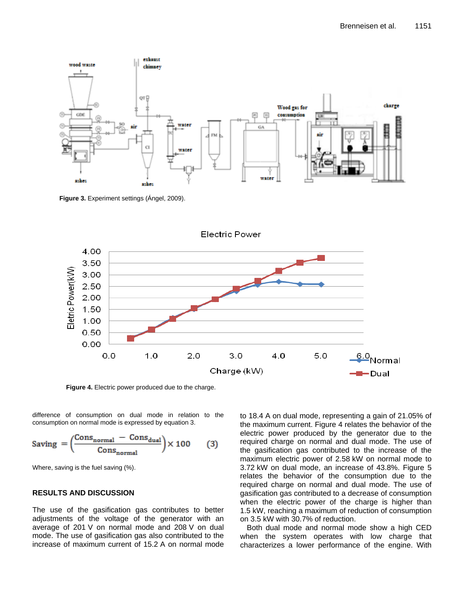

**Figure 3.** Experiment settings (Ángel, 2009).



**Figure 4.** Electric power produced due to the charge.

difference of consumption on dual mode in relation to the consumption on normal mode is expressed by equation 3.

Saving 
$$
=\left(\frac{\text{Consnormal - Consdual}}{\text{Consnormal}}\right) \times 100
$$
 (3)

Where, saving is the fuel saving (%).

#### **RESULTS AND DISCUSSION**

The use of the gasification gas contributes to better adjustments of the voltage of the generator with an average of 201 V on normal mode and 208 V on dual mode. The use of gasification gas also contributed to the increase of maximum current of 15.2 A on normal mode to 18.4 A on dual mode, representing a gain of 21.05% of the maximum current. Figure 4 relates the behavior of the electric power produced by the generator due to the required charge on normal and dual mode. The use of the gasification gas contributed to the increase of the maximum electric power of 2.58 kW on normal mode to 3.72 kW on dual mode, an increase of 43.8%. Figure 5 relates the behavior of the consumption due to the required charge on normal and dual mode. The use of gasification gas contributed to a decrease of consumption when the electric power of the charge is higher than 1.5 kW, reaching a maximum of reduction of consumption on 3.5 kW with 30.7% of reduction.

Both dual mode and normal mode show a high CED when the system operates with low charge that characterizes a lower performance of the engine. With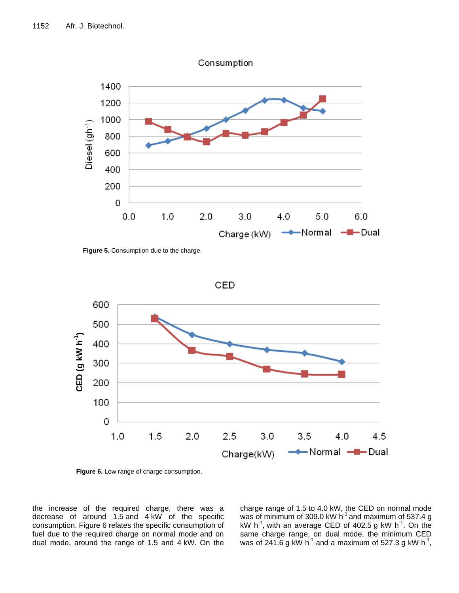

**Figure 5.** Consumption due to the charge.



**Figure 6.** Low range of charge consumption.

the increase of the required charge, there was a decrease of around 1.5 and 4 kW of the specific consumption. Figure 6 relates the specific consumption of fuel due to the required charge on normal mode and on dual mode, around the range of 1.5 and 4 kW. On the charge range of 1.5 to 4.0 kW, the CED on normal mode was of minimum of 309.0 kW  $h^{-1}$  and maximum of 537.4 g kW h<sup>-1</sup>, with an average CED of 402.5 g kW h<sup>-1</sup>. On the same charge range, on dual mode, the minimum CED was of 241.6 g kW h<sup>-1</sup> and a maximum of 527.3 g kW h<sup>-1</sup>,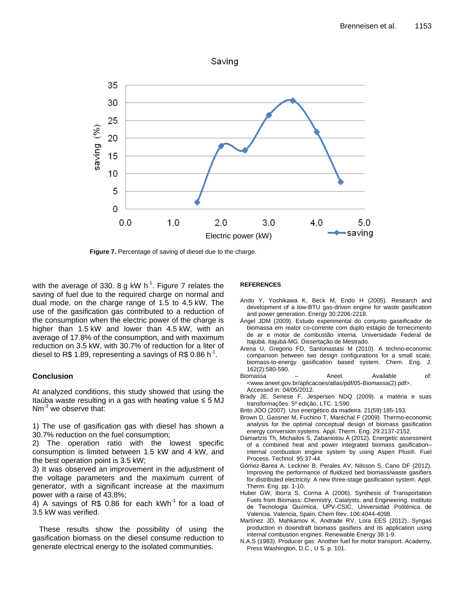

**Figure 7.** Percentage of saving of diesel due to the charge.

with the average of 330. 8 g kW h<sup>-1</sup>. Figure 7 relates the saving of fuel due to the required charge on normal and dual mode, on the charge range of 1.5 to 4.5 kW. The use of the gasification gas contributed to a reduction of the consumption when the electric power of the charge is higher than 1.5 kW and lower than 4.5 kW, with an average of 17.8% of the consumption, and with maximum reduction on 3.5 kW, with 30.7% of reduction for a liter of diesel to R\$ 1.89, representing a savings of R\$ 0.86 h<sup>-1</sup>.

#### **Conclusion**

At analyzed conditions, this study showed that using the Itaúba waste resulting in a gas with heating value  $\leq$  5 MJ  $Nm^{-3}$  we observe that:

1) The use of gasification gas with diesel has shown a 30.7% reduction on the fuel consumption;

2) The operation ratio with the lowest specific consumption is limited between 1.5 kW and 4 kW, and the best operation point is 3.5 kW;

3) It was observed an improvement in the adjustment of the voltage parameters and the maximum current of generator, with a significant increase at the maximum power with a raise of 43.8%;

4) A savings of R\$ 0.86 for each  $kWh^{-1}$  for a load of 3.5 kW was verified.

These results show the possibility of using the gasification biomass on the diesel consume reduction to generate electrical energy to the isolated communities.

#### **REFERENCES**

- Ando Y, Yoshikawa K, Beck M, Endo H (2005). Research and development of a low-BTU gas-driven engine for waste gasification and power generation. Energy 30:2206-2218.
- Ángel JDM (2009). Estudo experimental do conjunto gaseificador de biomassa em reator co-corrente com duplo estágio de fornecimento de ar e motor de combustão interna. Universidade Federal de Itajubá. Itajubá-MG. Dissertação de Mestrado.
- Arena U, Gregorio FD, Santonastasi M (2010). A techno-economic comparison between two design configurations for a small scale, biomass-to-energy gasification based system. Chem. Eng. J. 162(2):580-590.
- Biomassa Aneel. Available of: <www.aneel.gov.br/aplicacoes/atlas/pdf/05-Biomassa(2).pdf>. Accessed in: 04/05/2012.
- Brady JE, Senese F, Jespersen NDQ (2009). a matéria e suas transformações. 5º edição, LTC. 1:590.
- Brito JOO (2007). Uso energético da madeira. 21(59):185-193.
- Brown D, Gassner M, Fuchino T, Maréchal F (2009). Thermo-economic analysis for the optimal conceptual design of biomass gasification energy conversion systems. Appl. Therm. Eng. 29:2137-2152.
- Damartzis Th, Michailos S, Zabaniotou A (2012). Energetic assessment of a combined heat and power integrated biomass gasification– internal combustion engine system by using Aspen Plus®. Fuel Process. Technol. 95:37-44.
- Gómez-Barea A, Leckner B, Perales AV, Nilsson S, Cano DF (2012). Improving the performance of fluidized bed biomass/waste gasifiers for distributed electricity: A new three-stage gasification system. Appl. Therm. Eng. pp. 1-10.
- Huber GW, Iborra S, Corma A (2006). Synthesis of Transportation Fuels from Biomass: Chemistry, Catalysts, and Engineering. Instituto de Tecnologia Quıímica, UPV-CSIC, Universidad Politénica de Valencia. Valencia, Spain. Chem Rev. 106:4044-4098.
- Martínez JD, Mahkamov K, Andrade RV, Lora EES (2012). Syngas production in downdraft biomass gasifiers and its application using internal combustion engines. Renewable Energy 38:1-9.
- N.A.S (1983). Producer gas: Another fuel for motor transport. Academy, Press Washington, D.C., U S. p. 101.